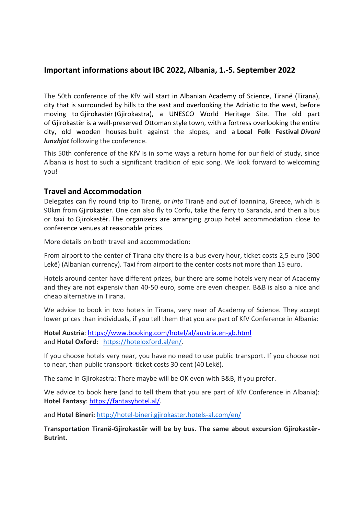# **Important informations about IBC 2022, Albania, 1.-5. September 2022**

The 50th conference of the KfV will start in Albanian Academy of Science, Tiranë (Tirana), city that is surrounded by hills to the east and overlooking the Adriatic to the west, before moving to Gjirokastër (Gjirokastra), a UNESCO World Heritage Site. The old part of Gjirokastër is a well-preserved Ottoman style town, with a fortress overlooking the entire city, old wooden houses built against the slopes, and a **Local Folk Festival** *Divani lunxhjot* following the conference.

This 50th conference of the KfV is in some ways a return home for our field of study, since Albania is host to such a significant tradition of epic song. We look forward to welcoming you!

### **Travel and Accommodation**

Delegates can fly round trip to Tiranë, or *into* Tiranë and *out* of Ioannina, Greece, which is 90km from Gjirokastër. One can also fly to Corfu, take the ferry to Saranda, and then a bus or taxi to Gjirokastër. The organizers are arranging group hotel accommodation close to conference venues at reasonable prices.

More details on both travel and accommodation:

From airport to the center of Tirana city there is a bus every hour, ticket costs 2,5 euro (300 Lekë) (Albanian currency). Taxi from airport to the center costs not more than 15 euro.

Hotels around center have different prizes, bur there are some hotels very near of Academy and they are not expensiv than 40-50 euro, some are even cheaper. B&B is also a nice and cheap alternative in Tirana.

We advice to book in two hotels in Tirana, very near of Academy of Science. They accept lower prices than individuals, if you tell them that you are part of KfV Conference in Albania:

**Hotel Austria**: <https://www.booking.com/hotel/al/austria.en-gb.html> and **Hotel Oxford**: [https://hoteloxford.al/en/.](https://hoteloxford.al/en/)

If you choose hotels very near, you have no need to use public transport. If you choose not to near, than public transport ticket costs 30 cent (40 Lekë).

The same in Gjirokastra: There maybe will be OK even with B&B, if you prefer.

We advice to book here (and to tell them that you are part of KfV Conference in Albania): **Hotel Fantasy**: [https://fantasyhotel.al/.](https://fantasyhotel.al/)

and **Hotel Bineri:** <http://hotel-bineri.gjirokaster.hotels-al.com/en/>

**Transportation Tiranë-Gjirokastër will be by bus. The same about excursion Gjirokastër-Butrint.**